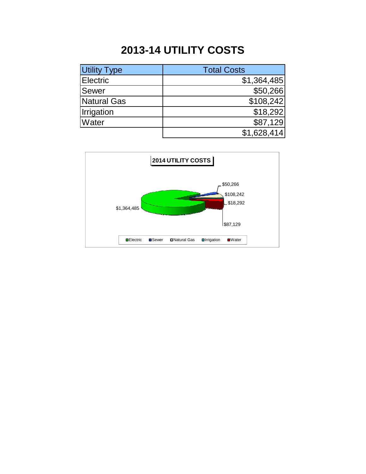## **2013-14 UTILITY COSTS**

| <b>Utility Type</b> | <b>Total Costs</b> |
|---------------------|--------------------|
| <b>Electric</b>     | \$1,364,485        |
| Sewer               | \$50,266           |
| <b>Natural Gas</b>  | \$108,242          |
| Irrigation          | \$18,292           |
| Water               | \$87,129           |
|                     | \$1,628,414        |